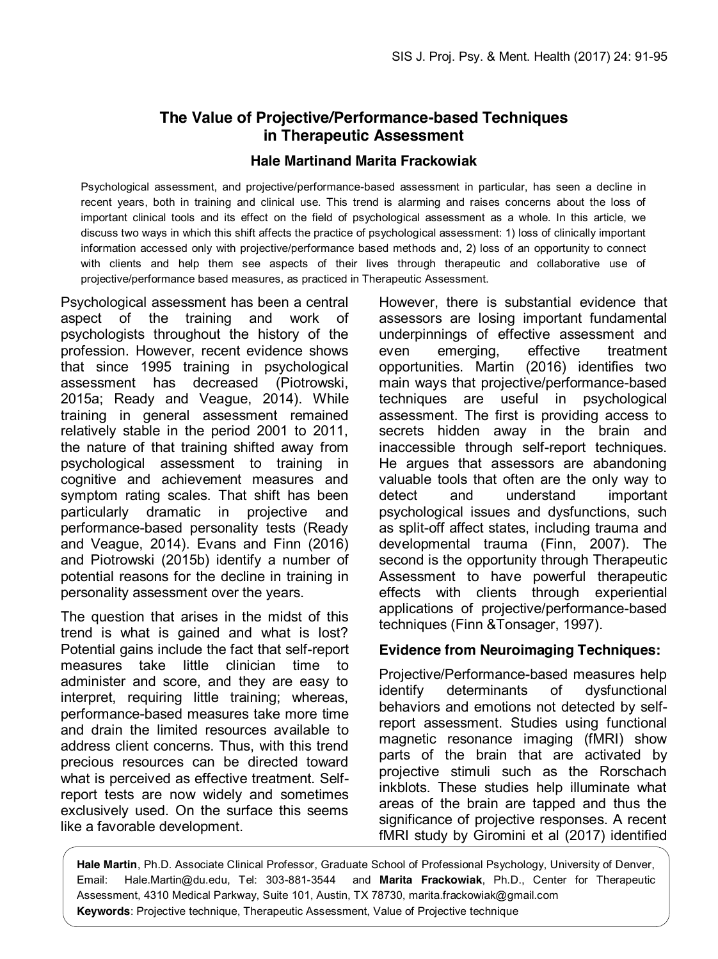# **The Value of Projective/Performance-based Techniques in Therapeutic Assessment**

#### **Hale Martinand Marita Frackowiak**

Psychological assessment, and projective/performance-based assessment in particular, has seen a decline in recent years, both in training and clinical use. This trend is alarming and raises concerns about the loss of important clinical tools and its effect on the field of psychological assessment as a whole. In this article, we discuss two ways in which this shift affects the practice of psychological assessment: 1) loss of clinically important information accessed only with projective/performance based methods and, 2) loss of an opportunity to connect with clients and help them see aspects of their lives through therapeutic and collaborative use of projective/performance based measures, as practiced in Therapeutic Assessment.

Psychological assessment has been a central aspect of the training and work of psychologists throughout the history of the profession. However, recent evidence shows that since 1995 training in psychological assessment has decreased (Piotrowski, 2015a; Ready and Veague, 2014). While training in general assessment remained relatively stable in the period 2001 to 2011, the nature of that training shifted away from psychological assessment to training in cognitive and achievement measures and symptom rating scales. That shift has been particularly dramatic in projective and performance-based personality tests (Ready and Veague, 2014). Evans and Finn (2016) and Piotrowski (2015b) identify a number of potential reasons for the decline in training in personality assessment over the years.

The question that arises in the midst of this trend is what is gained and what is lost? Potential gains include the fact that self-report measures take little clinician time to administer and score, and they are easy to interpret, requiring little training; whereas, performance-based measures take more time and drain the limited resources available to address client concerns. Thus, with this trend precious resources can be directed toward what is perceived as effective treatment. Selfreport tests are now widely and sometimes exclusively used. On the surface this seems like a favorable development.

However, there is substantial evidence that assessors are losing important fundamental underpinnings of effective assessment and even emerging, effective treatment opportunities. Martin (2016) identifies two main ways that projective/performance-based techniques are useful in psychological assessment. The first is providing access to secrets hidden away in the brain and inaccessible through self-report techniques. He argues that assessors are abandoning valuable tools that often are the only way to detect and understand important psychological issues and dysfunctions, such as split-off affect states, including trauma and developmental trauma (Finn, 2007). The second is the opportunity through Therapeutic Assessment to have powerful therapeutic effects with clients through experiential applications of projective/performance-based techniques (Finn &Tonsager, 1997).

### **Evidence from Neuroimaging Techniques:**

Projective/Performance-based measures help identify determinants of dysfunctional behaviors and emotions not detected by selfreport assessment. Studies using functional magnetic resonance imaging (fMRI) show parts of the brain that are activated by projective stimuli such as the Rorschach inkblots. These studies help illuminate what areas of the brain are tapped and thus the significance of projective responses. A recent fMRI study by Giromini et al (2017) identified

**Hale Martin**, Ph.D. Associate Clinical Professor, Graduate School of Professional Psychology, University of Denver, Email: Hale.Martin@du.edu, Tel: 303-881-3544 and **Marita Frackowiak**, Ph.D., Center for Therapeutic Assessment, 4310 Medical Parkway, Suite 101, Austin, TX 78730, marita.frackowiak@gmail.com **Keywords**: Projective technique, Therapeutic Assessment, Value of Projective technique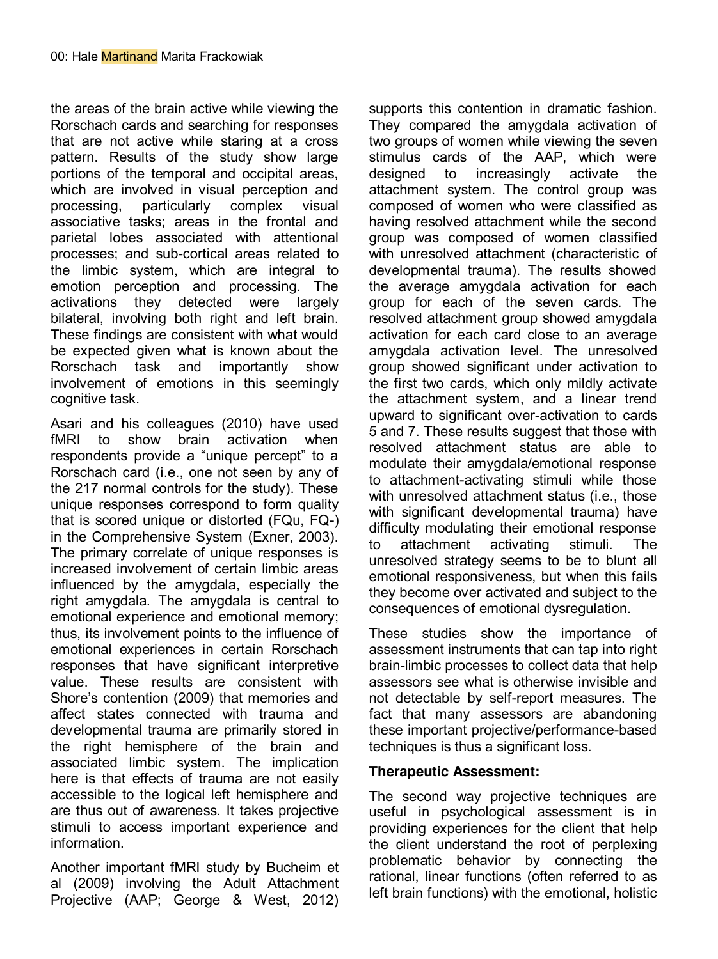the areas of the brain active while viewing the Rorschach cards and searching for responses that are not active while staring at a cross pattern. Results of the study show large portions of the temporal and occipital areas, which are involved in visual perception and processing, particularly complex visual associative tasks; areas in the frontal and parietal lobes associated with attentional processes; and sub-cortical areas related to the limbic system, which are integral to emotion perception and processing. The activations they detected were largely bilateral, involving both right and left brain. These findings are consistent with what would be expected given what is known about the Rorschach task and importantly show involvement of emotions in this seemingly cognitive task.

Asari and his colleagues (2010) have used fMRI to show brain activation when respondents provide a "unique percept" to a Rorschach card (i.e., one not seen by any of the 217 normal controls for the study). These unique responses correspond to form quality that is scored unique or distorted (FQu, FQ-) in the Comprehensive System (Exner, 2003). The primary correlate of unique responses is increased involvement of certain limbic areas influenced by the amygdala, especially the right amygdala. The amygdala is central to emotional experience and emotional memory; thus, its involvement points to the influence of emotional experiences in certain Rorschach responses that have significant interpretive value. These results are consistent with Shore's contention (2009) that memories and affect states connected with trauma and developmental trauma are primarily stored in the right hemisphere of the brain and associated limbic system. The implication here is that effects of trauma are not easily accessible to the logical left hemisphere and are thus out of awareness. It takes projective stimuli to access important experience and information.

Another important fMRI study by Bucheim et al (2009) involving the Adult Attachment Projective (AAP; George & West, 2012) supports this contention in dramatic fashion. They compared the amygdala activation of two groups of women while viewing the seven stimulus cards of the AAP, which were designed to increasingly activate the attachment system. The control group was composed of women who were classified as having resolved attachment while the second group was composed of women classified with unresolved attachment (characteristic of developmental trauma). The results showed the average amygdala activation for each group for each of the seven cards. The resolved attachment group showed amygdala activation for each card close to an average amygdala activation level. The unresolved group showed significant under activation to the first two cards, which only mildly activate the attachment system, and a linear trend upward to significant over-activation to cards 5 and 7. These results suggest that those with resolved attachment status are able to modulate their amygdala/emotional response to attachment-activating stimuli while those with unresolved attachment status (i.e., those with significant developmental trauma) have difficulty modulating their emotional response to attachment activating stimuli. The unresolved strategy seems to be to blunt all emotional responsiveness, but when this fails they become over activated and subject to the consequences of emotional dysregulation.

These studies show the importance of assessment instruments that can tap into right brain-limbic processes to collect data that help assessors see what is otherwise invisible and not detectable by self-report measures. The fact that many assessors are abandoning these important projective/performance-based techniques is thus a significant loss.

### **Therapeutic Assessment:**

The second way projective techniques are useful in psychological assessment is in providing experiences for the client that help the client understand the root of perplexing problematic behavior by connecting the rational, linear functions (often referred to as left brain functions) with the emotional, holistic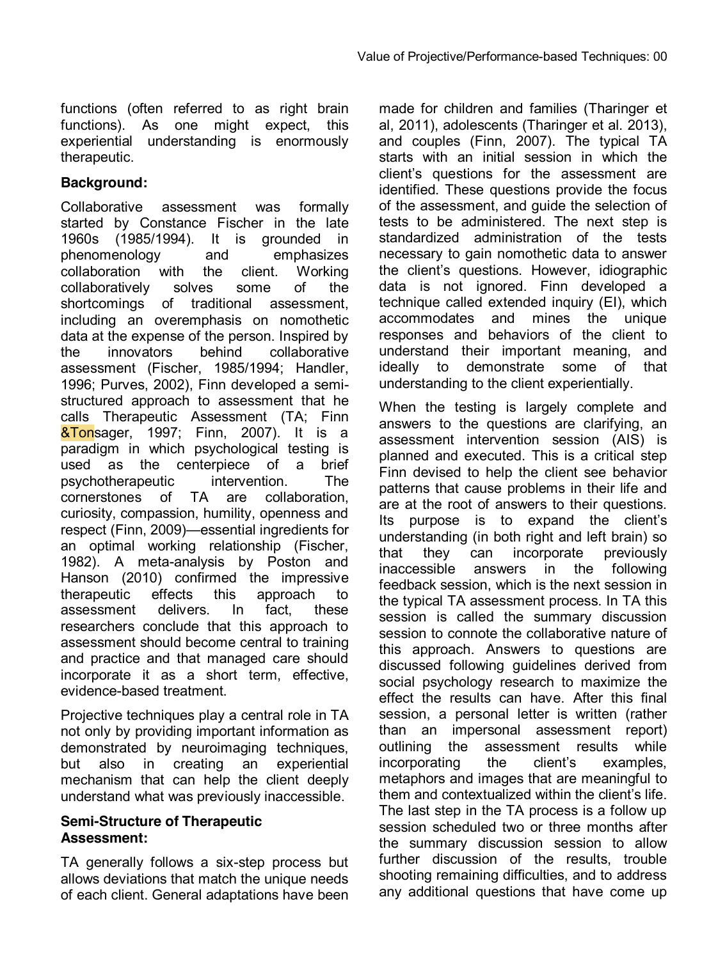functions (often referred to as right brain functions). As one might expect, this experiential understanding is enormously therapeutic.

# **Background:**

Collaborative assessment was formally started by Constance Fischer in the late 1960s (1985/1994). It is grounded in phenomenology and emphasizes collaboration with the client. Working collaboratively solves some of the shortcomings of traditional assessment, including an overemphasis on nomothetic data at the expense of the person. Inspired by the innovators behind collaborative assessment (Fischer, 1985/1994; Handler, 1996; Purves, 2002), Finn developed a semistructured approach to assessment that he calls Therapeutic Assessment (TA; Finn **&Tonsager, 1997; Finn, 2007). It is a** paradigm in which psychological testing is used as the centerpiece of a brief psychotherapeutic intervention. The cornerstones of TA are collaboration, curiosity, compassion, humility, openness and respect (Finn, 2009)—essential ingredients for an optimal working relationship (Fischer, 1982). A meta-analysis by Poston and Hanson (2010) confirmed the impressive therapeutic effects this approach to assessment delivers. In fact, these researchers conclude that this approach to assessment should become central to training and practice and that managed care should incorporate it as a short term, effective, evidence-based treatment.

Projective techniques play a central role in TA not only by providing important information as demonstrated by neuroimaging techniques, but also in creating an experiential mechanism that can help the client deeply understand what was previously inaccessible.

## **Semi-Structure of Therapeutic Assessment:**

TA generally follows a six-step process but allows deviations that match the unique needs of each client. General adaptations have been made for children and families (Tharinger et al, 2011), adolescents (Tharinger et al. 2013), and couples (Finn, 2007). The typical TA starts with an initial session in which the client's questions for the assessment are identified. These questions provide the focus of the assessment, and guide the selection of tests to be administered. The next step is standardized administration of the tests necessary to gain nomothetic data to answer the client's questions. However, idiographic data is not ignored. Finn developed a technique called extended inquiry (EI), which accommodates and mines the unique responses and behaviors of the client to understand their important meaning, and ideally to demonstrate some of that understanding to the client experientially.

When the testing is largely complete and answers to the questions are clarifying, an assessment intervention session (AIS) is planned and executed. This is a critical step Finn devised to help the client see behavior patterns that cause problems in their life and are at the root of answers to their questions. Its purpose is to expand the client's understanding (in both right and left brain) so that they can incorporate previously inaccessible answers in the following feedback session, which is the next session in the typical TA assessment process. In TA this session is called the summary discussion session to connote the collaborative nature of this approach. Answers to questions are discussed following guidelines derived from social psychology research to maximize the effect the results can have. After this final session, a personal letter is written (rather than an impersonal assessment report) outlining the assessment results while incorporating the client's examples, metaphors and images that are meaningful to them and contextualized within the client's life. The last step in the TA process is a follow up session scheduled two or three months after the summary discussion session to allow further discussion of the results, trouble shooting remaining difficulties, and to address any additional questions that have come up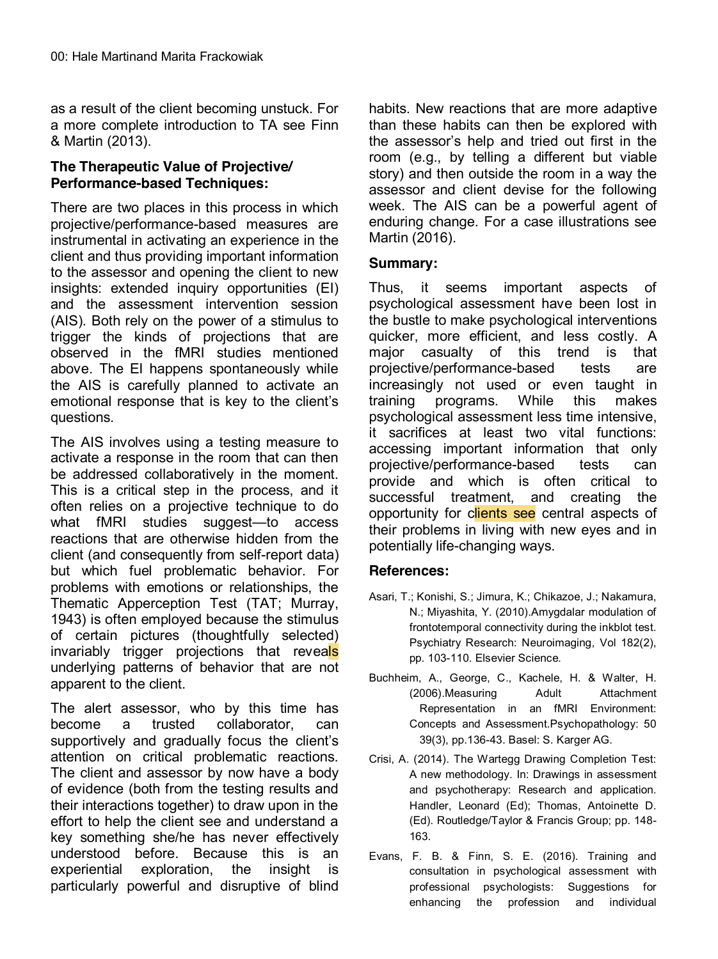as a result of the client becoming unstuck. For a more complete introduction to TA see Finn & Martin (2013).

# **The Therapeutic Value of Projective/ Performance-based Techniques:**

There are two places in this process in which projective/performance-based measures are instrumental in activating an experience in the client and thus providing important information to the assessor and opening the client to new insights: extended inquiry opportunities (EI) and the assessment intervention session (AIS). Both rely on the power of a stimulus to trigger the kinds of projections that are observed in the fMRI studies mentioned above. The EI happens spontaneously while the AIS is carefully planned to activate an emotional response that is key to the client's questions.

The AIS involves using a testing measure to activate a response in the room that can then be addressed collaboratively in the moment. This is a critical step in the process, and it often relies on a projective technique to do what fMRI studies suggest—to access reactions that are otherwise hidden from the client (and consequently from self-report data) but which fuel problematic behavior. For problems with emotions or relationships, the Thematic Apperception Test (TAT; Murray, 1943) is often employed because the stimulus of certain pictures (thoughtfully selected) invariably trigger projections that reveals underlying patterns of behavior that are not apparent to the client.

The alert assessor, who by this time has become a trusted collaborator, can supportively and gradually focus the client's attention on critical problematic reactions. The client and assessor by now have a body of evidence (both from the testing results and their interactions together) to draw upon in the effort to help the client see and understand a key something she/he has never effectively understood before. Because this is an experiential exploration, the insight is particularly powerful and disruptive of blind habits. New reactions that are more adaptive than these habits can then be explored with the assessor's help and tried out first in the room (e.g., by telling a different but viable story) and then outside the room in a way the assessor and client devise for the following week. The AIS can be a powerful agent of enduring change. For a case illustrations see Martin (2016).

## **Summary:**

Thus, it seems important aspects of psychological assessment have been lost in the bustle to make psychological interventions quicker, more efficient, and less costly. A major casualty of this trend is that projective/performance-based tests are increasingly not used or even taught in training programs. While this makes psychological assessment less time intensive, it sacrifices at least two vital functions: accessing important information that only projective/performance-based tests can provide and which is often critical to successful treatment, and creating the opportunity for clients see central aspects of their problems in living with new eyes and in potentially life-changing ways.

### **References:**

- Asari, T.; Konishi, S.; Jimura, K.; Chikazoe, J.; Nakamura, N.; Miyashita, Y. (2010).Amygdalar modulation of frontotemporal connectivity during the inkblot test. Psychiatry Research: Neuroimaging, Vol 182(2), pp. 103-110. Elsevier Science.
- Buchheim, A., George, C., Kachele, H. & Walter, H. (2006).Measuring Adult Attachment Representation in an fMRI Environment: Concepts and Assessment.Psychopathology: 50 39(3), pp.136-43. Basel: S. Karger AG.
- Crisi, A. (2014). The Wartegg Drawing Completion Test: A new methodology. In: Drawings in assessment and psychotherapy: Research and application. Handler, Leonard (Ed); Thomas, Antoinette D. (Ed). Routledge/Taylor & Francis Group; pp. 148- 163.
- Evans, F. B. & Finn, S. E. (2016). Training and consultation in psychological assessment with professional psychologists: Suggestions for enhancing the profession and individual